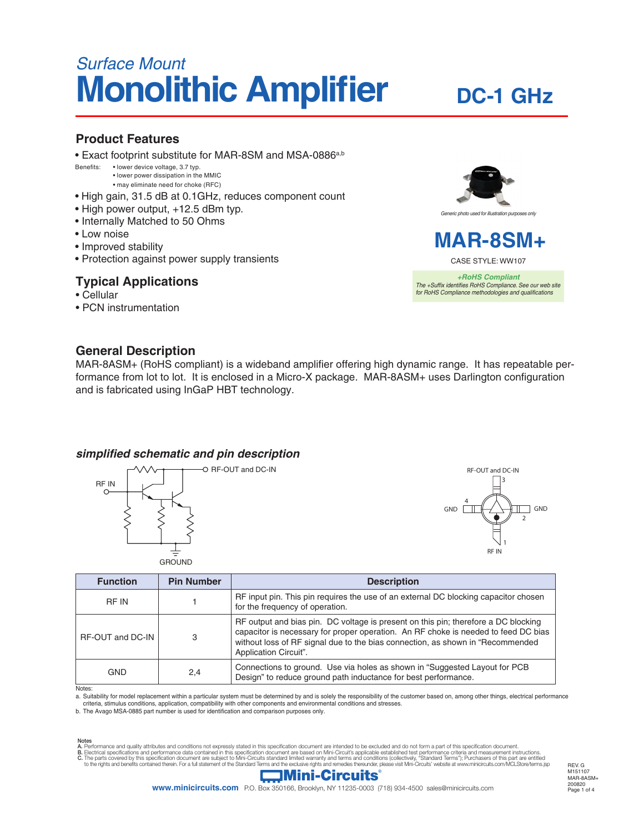# *Surface Mount* **Monolithic Amplifier**

## **DC-1 GHz**

### **Product Features**

• Exact footprint substitute for MAR-8SM and MSA-0886<sup>a,b</sup><br>Benefits: · · lower device voltage, 3.7 typ.

• lower device voltage, 3.7 typ. • lower power dissipation in the MMIC

- may eliminate need for choke (RFC)
- High gain, 31.5 dB at 0.1GHz, reduces component count
- High power output, +12.5 dBm typ.
- Internally Matched to 50 Ohms
- Low noise
- Improved stability
- Protection against power supply transients

## **Typical Applications**

- Cellular
- PCN instrumentation



## **MAR-8SM+**

CASE STYLE: WW107

*+RoHS Compliant The +Suffix identifies RoHS Compliance. See our web site for RoHS Compliance methodologies and qualifications*

## **General Description**

MAR-8ASM+ (RoHS compliant) is a wideband amplifier offering high dynamic range. It has repeatable performance from lot to lot. It is enclosed in a Micro-X package. MAR-8ASM+ uses Darlington configuration and is fabricated using InGaP HBT technology.

#### *simplified schematic and pin description*





| <b>Function</b>  | <b>Pin Number</b> | <b>Description</b>                                                                                                                                                                                                                                                                  |  |  |
|------------------|-------------------|-------------------------------------------------------------------------------------------------------------------------------------------------------------------------------------------------------------------------------------------------------------------------------------|--|--|
| RF IN            |                   | RF input pin. This pin requires the use of an external DC blocking capacitor chosen<br>for the frequency of operation.                                                                                                                                                              |  |  |
| RF-OUT and DC-IN | 3                 | RF output and bias pin. DC voltage is present on this pin; therefore a DC blocking<br>capacitor is necessary for proper operation. An RF choke is needed to feed DC bias<br>without loss of RF signal due to the bias connection, as shown in "Recommended<br>Application Circuit". |  |  |
| <b>GND</b>       | 2,4               | Connections to ground. Use via holes as shown in "Suggested Layout for PCB<br>Design" to reduce ground path inductance for best performance.                                                                                                                                        |  |  |

Notes:

a. Suitability for model replacement within a particular system must be determined by and is solely the responsibility of the customer based on, among other things, electrical performance criteria, stimulus conditions, application, compatibility with other components and environmental conditions and stresses.

b. The Avago MSA-0885 part number is used for identification and comparison purposes only.

Notes<br>A. Performance and quality attributes and conditions not expressly stated in this specification document are intended to be excluded and do not form a part of this specification document.<br>B. Electrical specifications



Page 1 of 4 200820 REV. G M151107 MAR-8ASM+

**www.minicircuits.com** P.O. Box 350166, Brooklyn, NY 11235-0003 (718) 934-4500 sales@minicircuits.com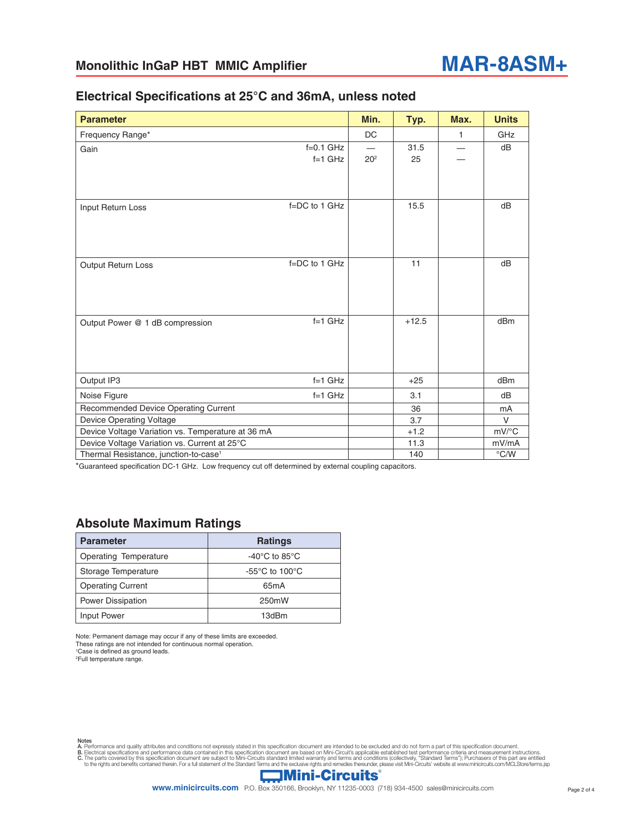

#### **Electrical Specifications at 25°C and 36mA, unless noted**

| <b>Parameter</b>                                  |                          | Min.            | Typ.       | Max. | <b>Units</b>        |
|---------------------------------------------------|--------------------------|-----------------|------------|------|---------------------|
| Frequency Range*                                  |                          | DC              |            | 1    | GHz                 |
| Gain                                              | $f=0.1$ GHz<br>$f=1$ GHz | 20 <sup>2</sup> | 31.5<br>25 |      | dB                  |
| Input Return Loss                                 | $f = DC$ to 1 GHz        |                 | 15.5       |      | dB                  |
| <b>Output Return Loss</b>                         | $f = DC$ to 1 GHz        |                 | 11         |      | dB                  |
| Output Power @ 1 dB compression                   | $f=1$ GHz                |                 | $+12.5$    |      | dBm                 |
| Output IP3                                        | $f=1$ GHz                |                 | $+25$      |      | dB <sub>m</sub>     |
| Noise Figure                                      | $f=1$ GHz                |                 | 3.1        |      | dB                  |
| Recommended Device Operating Current              |                          |                 | 36         |      | mA                  |
| <b>Device Operating Voltage</b>                   |                          |                 | 3.7        |      | $\vee$              |
| Device Voltage Variation vs. Temperature at 36 mA |                          |                 | $+1.2$     |      | $mV$ <sup>o</sup> C |
| Device Voltage Variation vs. Current at 25°C      |                          |                 | 11.3       |      | mV/mA               |
| Thermal Resistance, junction-to-case <sup>1</sup> |                          |                 | 140        |      | $\degree$ C/W       |

\*Guaranteed specification DC-1 GHz. Low frequency cut off determined by external coupling capacitors.

#### **Absolute Maximum Ratings**

| <b>Parameter</b>         | <b>Ratings</b>                      |  |
|--------------------------|-------------------------------------|--|
| Operating Temperature    | -40 $^{\circ}$ C to 85 $^{\circ}$ C |  |
| Storage Temperature      | $-55^{\circ}$ C to 100 $^{\circ}$ C |  |
| <b>Operating Current</b> | 65 <sub>m</sub> A                   |  |
| <b>Power Dissipation</b> | 250mW                               |  |
| Input Power              | 13dBm                               |  |

Note: Permanent damage may occur if any of these limits are exceeded. These ratings are not intended for continuous normal operation.

1 Case is defined as ground leads.

2 Full temperature range.

Notes<br>A. Performance and quality attributes and conditions not expressly stated in this specification document are intended to be excluded and do not form a part of this specification document.<br>B. Electrical specifications

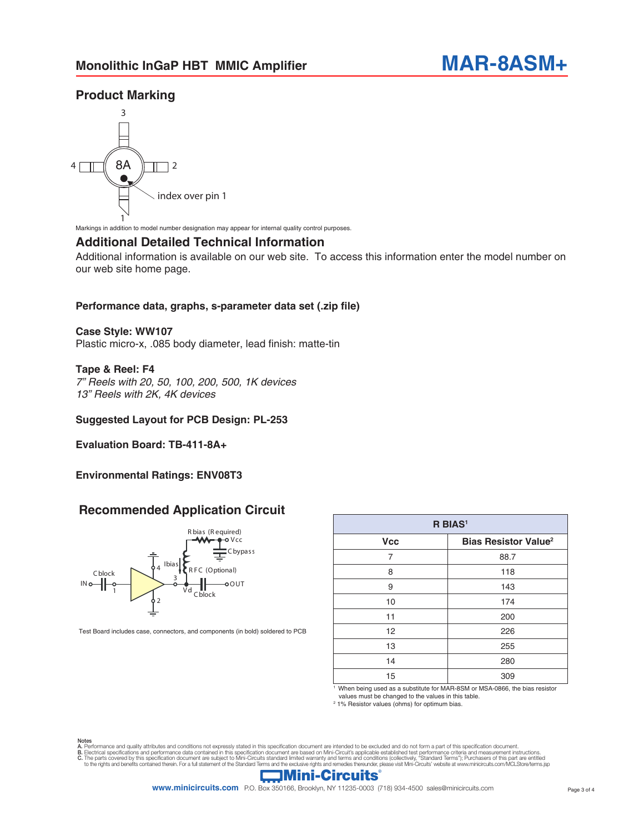## **Product Marking**



Markings in addition to model number designation may appear for internal quality control purposes.

#### **Additional Detailed Technical Information**

Additional information is available on our web site. To access this information enter the model number on our web site home page.

#### **Performance data, graphs, s-parameter data set (.zip file)**

#### **Case Style: WW107**

Plastic micro-x, .085 body diameter, lead finish: matte-tin

#### **Tape & Reel: F4**

*7" Reels with 20, 50, 100, 200, 500, 1K devices 13" Reels with 2K, 4K devices*

#### **Suggested Layout for PCB Design: PL-253**

**Evaluation Board: TB-411-8A+** 

#### **Environmental Ratings: ENV08T3**

#### **Recommended Application Circuit**



Test Board includes case, connectors, and components (in bold) soldered to PCB

| R BIAS <sup>1</sup> |                                        |  |  |  |  |
|---------------------|----------------------------------------|--|--|--|--|
| <b>Vcc</b>          | <b>Bias Resistor Value<sup>2</sup></b> |  |  |  |  |
| 7                   | 88.7                                   |  |  |  |  |
| 8                   | 118                                    |  |  |  |  |
| 9                   | 143                                    |  |  |  |  |
| 10                  | 174                                    |  |  |  |  |
| 11                  | 200                                    |  |  |  |  |
| 12                  | 226                                    |  |  |  |  |
| 13                  | 255                                    |  |  |  |  |
| 14                  | 280                                    |  |  |  |  |
| 15                  | 309                                    |  |  |  |  |

When being used as a substitute for MAR-8SM or MSA-0866, the bias resistor values must be changed to the values in this table.

2 1% Resistor values (ohms) for optimum bias.

Notes<br>A. Performance and quality attributes and conditions not expressly stated in this specification document are intended to be excluded and do not form a part of this specification document.<br>B. Electrical specifications



**www.minicircuits.com** P.O. Box 350166, Brooklyn, NY 11235-0003 (718) 934-4500 sales@minicircuits.com Page 3 of 4